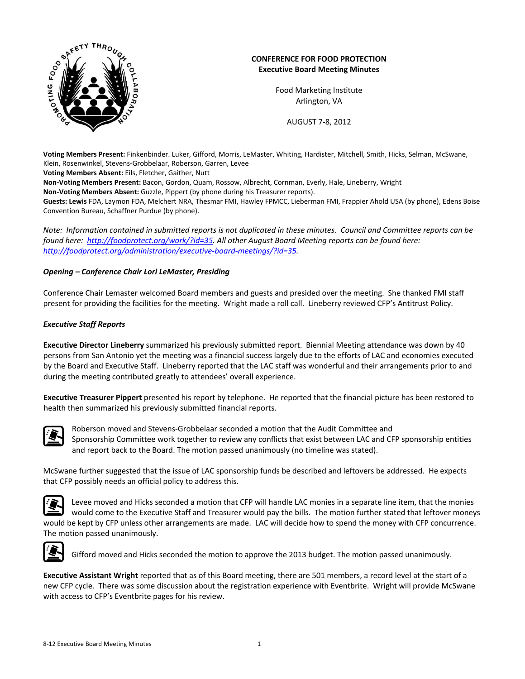

# **CONFERENCE FOR FOOD PROTECTION Executive Board Meeting Minutes**

Food Marketing Institute Arlington, VA

AUGUST 7‐8, 2012

**Voting Members Present:** Finkenbinder. Luker, Gifford, Morris, LeMaster, Whiting, Hardister, Mitchell, Smith, Hicks, Selman, McSwane, Klein, Rosenwinkel, Stevens‐Grobbelaar, Roberson, Garren, Levee

**Voting Members Absent:** Eils, Fletcher, Gaither, Nutt

**Non‐Voting Members Present:** Bacon, Gordon, Quam, Rossow, Albrecht, Cornman, Everly, Hale, Lineberry, Wright

**Non‐Voting Members Absent:** Guzzle, Pippert (by phone during his Treasurer reports).

**Guests: Lewis** FDA, Laymon FDA, Melchert NRA, Thesmar FMI, Hawley FPMCC, Lieberman FMI, Frappier Ahold USA (by phone), Edens Boise Convention Bureau, Schaffner Purdue (by phone).

Note: Information contained in submitted reports is not duplicated in these minutes. Council and Committee reports can be *found here: <http://foodprotect.org/work/?id=35>. All other August Board Meeting reports can be found here: [http://foodprotect.org/administration/executive](http://foodprotect.org/administration/executive-board-meetings/?id=35)‐board‐meetings/?id=35.* 

# *Opening – Conference Chair Lori LeMaster, Presiding*

Conference Chair Lemaster welcomed Board members and guests and presided over the meeting. She thanked FMI staff present for providing the facilities for the meeting. Wright made a roll call. Lineberry reviewed CFP's Antitrust Policy.

# *Executive Staff Reports*

**Executive Director Lineberry** summarized his previously submitted report. Biennial Meeting attendance was down by 40 persons from San Antonio yet the meeting was a financial success largely due to the efforts of LAC and economies executed by the Board and Executive Staff. Lineberry reported that the LAC staff was wonderful and their arrangements prior to and during the meeting contributed greatly to attendees' overall experience.

**Executive Treasurer Pippert** presented his report by telephone. He reported that the financial picture has been restored to health then summarized his previously submitted financial reports.



Roberson moved and Stevens‐Grobbelaar seconded a motion that the Audit Committee and Sponsorship Committee work together to review any conflicts that exist between LAC and CFP sponsorship entities and report back to the Board. The motion passed unanimously (no timeline was stated).

McSwane further suggested that the issue of LAC sponsorship funds be described and leftovers be addressed. He expects that CFP possibly needs an official policy to address this.



Levee moved and Hicks seconded a motion that CFP will handle LAC monies in a separate line item, that the monies would come to the Executive Staff and Treasurer would pay the bills. The motion further stated that leftover moneys would be kept by CFP unless other arrangements are made. LAC will decide how to spend the money with CFP concurrence. The motion passed unanimously.



Gifford moved and Hicks seconded the motion to approve the 2013 budget. The motion passed unanimously.

**Executive Assistant Wright** reported that as of this Board meeting, there are 501 members, a record level at the start of a new CFP cycle. There was some discussion about the registration experience with Eventbrite. Wright will provide McSwane with access to CFP's Eventbrite pages for his review.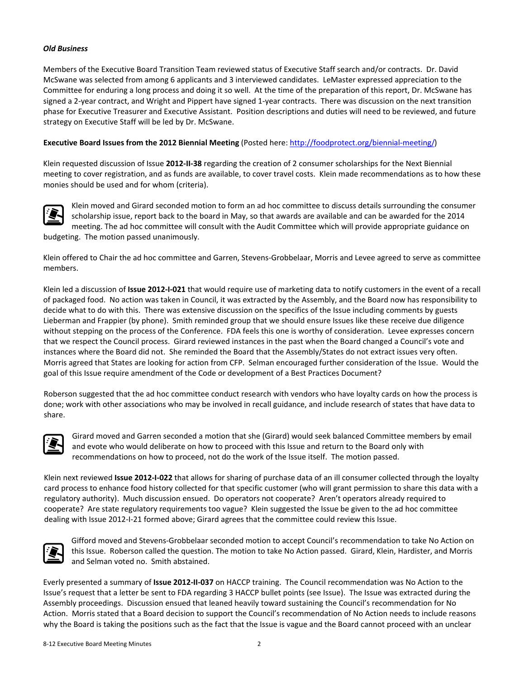### *Old Business*

Members of the Executive Board Transition Team reviewed status of Executive Staff search and/or contracts. Dr. David McSwane was selected from among 6 applicants and 3 interviewed candidates. LeMaster expressed appreciation to the Committee for enduring a long process and doing it so well. At the time of the preparation of this report, Dr. McSwane has signed a 2‐year contract, and Wright and Pippert have signed 1‐year contracts. There was discussion on the next transition phase for Executive Treasurer and Executive Assistant. Position descriptions and duties will need to be reviewed, and future strategy on Executive Staff will be led by Dr. McSwane.

### **Executive Board Issues from the 2012 Biennial Meeting** (Posted here: [http://foodprotect.org/biennial](http://foodprotect.org/biennial-meeting/)‐meeting/)

Klein requested discussion of Issue **2012‐II‐38** regarding the creation of 2 consumer scholarships for the Next Biennial meeting to cover registration, and as funds are available, to cover travel costs. Klein made recommendations as to how these monies should be used and for whom (criteria).



Klein moved and Girard seconded motion to form an ad hoc committee to discuss details surrounding the consumer scholarship issue, report back to the board in May, so that awards are available and can be awarded for the 2014 meeting. The ad hoc committee will consult with the Audit Committee which will provide appropriate guidance on budgeting. The motion passed unanimously.

Klein offered to Chair the ad hoc committee and Garren, Stevens‐Grobbelaar, Morris and Levee agreed to serve as committee members.

Klein led a discussion of **Issue 2012‐I‐021** that would require use of marketing data to notify customers in the event of a recall of packaged food. No action was taken in Council, it was extracted by the Assembly, and the Board now has responsibility to decide what to do with this. There was extensive discussion on the specifics of the Issue including comments by guests Lieberman and Frappier (by phone). Smith reminded group that we should ensure Issues like these receive due diligence without stepping on the process of the Conference. FDA feels this one is worthy of consideration. Levee expresses concern that we respect the Council process. Girard reviewed instances in the past when the Board changed a Council's vote and instances where the Board did not. She reminded the Board that the Assembly/States do not extract issues very often. Morris agreed that States are looking for action from CFP. Selman encouraged further consideration of the Issue. Would the goal of this Issue require amendment of the Code or development of a Best Practices Document?

Roberson suggested that the ad hoc committee conduct research with vendors who have loyalty cards on how the process is done; work with other associations who may be involved in recall guidance, and include research of states that have data to share.



Girard moved and Garren seconded a motion that she (Girard) would seek balanced Committee members by email and evote who would deliberate on how to proceed with this Issue and return to the Board only with recommendations on how to proceed, not do the work of the Issue itself. The motion passed.

Klein next reviewed **Issue 2012‐I‐022** that allows for sharing of purchase data of an ill consumer collected through the loyalty card process to enhance food history collected for that specific customer (who will grant permission to share this data with a regulatory authority). Much discussion ensued. Do operators not cooperate? Aren't operators already required to cooperate? Are state regulatory requirements too vague? Klein suggested the Issue be given to the ad hoc committee dealing with Issue 2012-I-21 formed above; Girard agrees that the committee could review this Issue.



Gifford moved and Stevens‐Grobbelaar seconded motion to accept Council's recommendation to take No Action on this Issue. Roberson called the question. The motion to take No Action passed. Girard, Klein, Hardister, and Morris and Selman voted no. Smith abstained.

Everly presented a summary of **Issue 2012‐II‐037** on HACCP training. The Council recommendation was No Action to the Issue's request that a letter be sent to FDA regarding 3 HACCP bullet points (see Issue). The Issue was extracted during the Assembly proceedings. Discussion ensued that leaned heavily toward sustaining the Council's recommendation for No Action. Morris stated that a Board decision to support the Council's recommendation of No Action needs to include reasons why the Board is taking the positions such as the fact that the Issue is vague and the Board cannot proceed with an unclear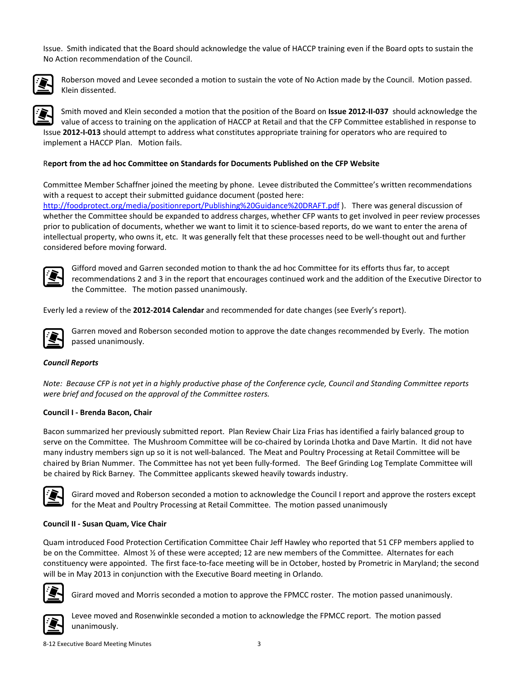Issue. Smith indicated that the Board should acknowledge the value of HACCP training even if the Board opts to sustain the No Action recommendation of the Council.



Roberson moved and Levee seconded a motion to sustain the vote of No Action made by the Council. Motion passed. Klein dissented.

Smith moved and Klein seconded a motion that the position of the Board on **Issue 2012‐II‐037** should acknowledge the value of access to training on the application of HACCP at Retail and that the CFP Committee established in response to Issue **2012‐I‐013** should attempt to address what constitutes appropriate training for operators who are required to implement a HACCP Plan. Motion fails.

### R**eport from the ad hoc Committee on Standards for Documents Published on the CFP Website**

Committee Member Schaffner joined the meeting by phone. Levee distributed the Committee's written recommendations with a request to accept their submitted guidance document (posted here: <http://foodprotect.org/media/positionreport/Publishing%20Guidance%20DRAFT.pdf> ). There was general discussion of whether the Committee should be expanded to address charges, whether CFP wants to get involved in peer review processes prior to publication of documents, whether we want to limit it to science‐based reports, do we want to enter the arena of intellectual property, who owns it, etc. It was generally felt that these processes need to be well-thought out and further considered before moving forward.



Gifford moved and Garren seconded motion to thank the ad hoc Committee for its efforts thus far, to accept recommendations 2 and 3 in the report that encourages continued work and the addition of the Executive Director to the Committee. The motion passed unanimously.

Everly led a review of the **2012‐2014 Calendar** and recommended for date changes (see Everly's report).



Garren moved and Roberson seconded motion to approve the date changes recommended by Everly. The motion passed unanimously.

## *Council Reports*

Note: Because CFP is not yet in a highly productive phase of the Conference cycle, Council and Standing Committee reports *were brief and focused on the approval of the Committee rosters.*

#### **Council I ‐ Brenda Bacon, Chair**

Bacon summarized her previously submitted report. Plan Review Chair Liza Frias has identified a fairly balanced group to serve on the Committee. The Mushroom Committee will be co-chaired by Lorinda Lhotka and Dave Martin. It did not have many industry members sign up so it is not well‐balanced. The Meat and Poultry Processing at Retail Committee will be chaired by Brian Nummer. The Committee has not yet been fully-formed. The Beef Grinding Log Template Committee will be chaired by Rick Barney. The Committee applicants skewed heavily towards industry.



Girard moved and Roberson seconded a motion to acknowledge the Council I report and approve the rosters except for the Meat and Poultry Processing at Retail Committee. The motion passed unanimously

#### **Council II ‐ Susan Quam, Vice Chair**

Quam introduced Food Protection Certification Committee Chair Jeff Hawley who reported that 51 CFP members applied to be on the Committee. Almost ½ of these were accepted; 12 are new members of the Committee. Alternates for each constituency were appointed. The first face‐to‐face meeting will be in October, hosted by Prometric in Maryland; the second will be in May 2013 in conjunction with the Executive Board meeting in Orlando.



Girard moved and Morris seconded a motion to approve the FPMCC roster. The motion passed unanimously.



Levee moved and Rosenwinkle seconded a motion to acknowledge the FPMCC report. The motion passed unanimously.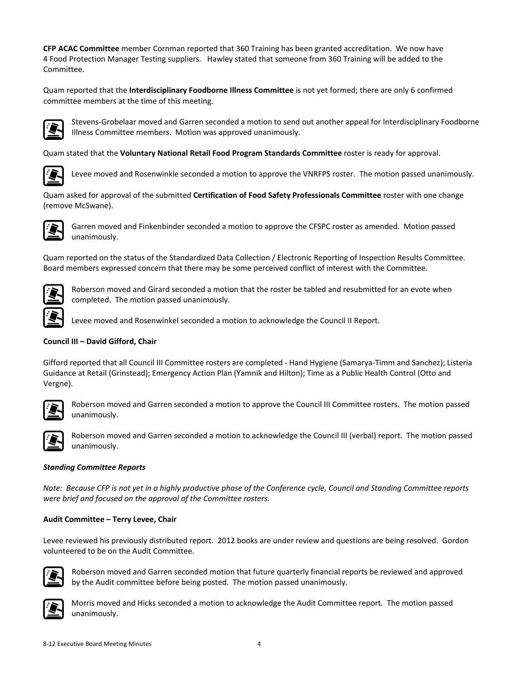**CFP ACAC Committee** member Cornman reported that 360 Training has been granted accreditation. We now have 4 Food Protection Manager Testing suppliers. Hawley stated that someone from 360 Training will be added to the Committee.

Quam reported that the **Interdisciplinary Foodborne Illness Committee** is not yet formed; there are only 6 confirmed committee members at the time of this meeting.



Stevens‐Grobelaar moved and Garren seconded a motion to send out another appeal for Interdisciplinary Foodborne Illness Committee members. Motion was approved unanimously.

Quam stated that the **Voluntary National Retail Food Program Standards Committee** roster is ready for approval.



Levee moved and Rosenwinkle seconded a motion to approve the VNRFPS roster. The motion passed unanimously.

Quam asked for approval of the submitted **Certification of Food Safety Professionals Committee** roster with one change (remove McSwane).



Garren moved and Finkenbinder seconded a motion to approve the CFSPC roster as amended. Motion passed unanimously.

Quam reported on the status of the Standardized Data Collection / Electronic Reporting of Inspection Results Committee. Board members expressed concern that there may be some perceived conflict of interest with the Committee.



Roberson moved and Girard seconded a motion that the roster be tabled and resubmitted for an evote when completed. The motion passed unanimously.

Levee moved and Rosenwinkel seconded a motion to acknowledge the Council II Report.

# **Council III – David Gifford, Chair**

Gifford reported that all Council III Committee rosters are completed - Hand Hygiene (Samarya-Timm and Sanchez); Listeria Guidance at Retail (Grinstead); Emergency Action Plan (Yamnik and Hilton); Time as a Public Health Control (Otto and Vergne).



Roberson moved and Garren seconded a motion to approve the Council III Committee rosters. The motion passed unanimously.



Roberson moved and Garren seconded a motion to acknowledge the Council III (verbal) report. The motion passed unanimously.

## *Standing Committee Reports*

Note: Because CFP is not yet in a highly productive phase of the Conference cycle, Council and Standing Committee reports *were brief and focused on the approval of the Committee rosters.*

## **Audit Committee – Terry Levee, Chair**

Levee reviewed his previously distributed report. 2012 books are under review and questions are being resolved. Gordon volunteered to be on the Audit Committee.



Roberson moved and Garren seconded motion that future quarterly financial reports be reviewed and approved by the Audit committee before being posted. The motion passed unanimously.



Morris moved and Hicks seconded a motion to acknowledge the Audit Committee report. The motion passed unanimously.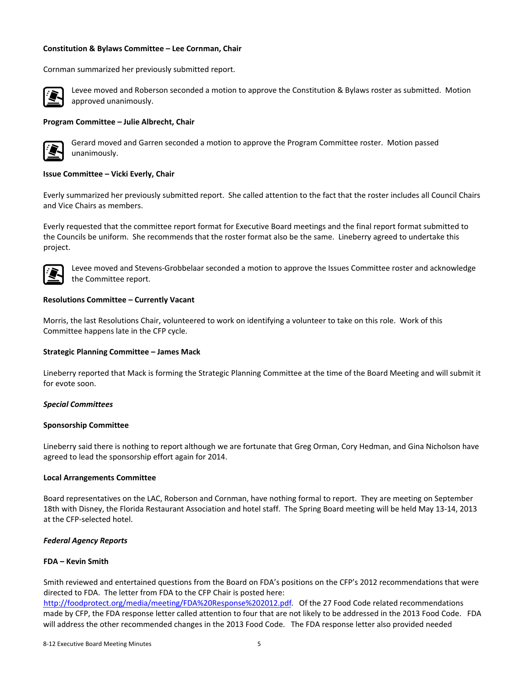#### **Constitution & Bylaws Committee – Lee Cornman, Chair**

Cornman summarized her previously submitted report.



Levee moved and Roberson seconded a motion to approve the Constitution & Bylaws roster as submitted. Motion approved unanimously.

#### **Program Committee – Julie Albrecht, Chair**



Gerard moved and Garren seconded a motion to approve the Program Committee roster. Motion passed unanimously.

#### **Issue Committee – Vicki Everly, Chair**

Everly summarized her previously submitted report. She called attention to the fact that the roster includes all Council Chairs and Vice Chairs as members.

Everly requested that the committee report format for Executive Board meetings and the final report format submitted to the Councils be uniform. She recommends that the roster format also be the same. Lineberry agreed to undertake this project.



Levee moved and Stevens‐Grobbelaar seconded a motion to approve the Issues Committee roster and acknowledge the Committee report.

#### **Resolutions Committee – Currently Vacant**

Morris, the last Resolutions Chair, volunteered to work on identifying a volunteer to take on this role. Work of this Committee happens late in the CFP cycle.

#### **Strategic Planning Committee – James Mack**

Lineberry reported that Mack is forming the Strategic Planning Committee at the time of the Board Meeting and will submit it for evote soon.

#### *Special Committees*

#### **Sponsorship Committee**

Lineberry said there is nothing to report although we are fortunate that Greg Orman, Cory Hedman, and Gina Nicholson have agreed to lead the sponsorship effort again for 2014.

#### **Local Arrangements Committee**

Board representatives on the LAC, Roberson and Cornman, have nothing formal to report. They are meeting on September 18th with Disney, the Florida Restaurant Association and hotel staff. The Spring Board meeting will be held May 13‐14, 2013 at the CFP‐selected hotel.

#### *Federal Agency Reports*

### **FDA – Kevin Smith**

Smith reviewed and entertained questions from the Board on FDA's positions on the CFP's 2012 recommendations that were directed to FDA. The letter from FDA to the CFP Chair is posted here:

[http://foodprotect.org/media/meeting/FDA%20Response%202012.pdf.](http://foodprotect.org/media/meeting/FDA%20Response%202012.pdf) Of the 27 Food Code related recommendations made by CFP, the FDA response letter called attention to four that are not likely to be addressed in the 2013 Food Code. FDA will address the other recommended changes in the 2013 Food Code. The FDA response letter also provided needed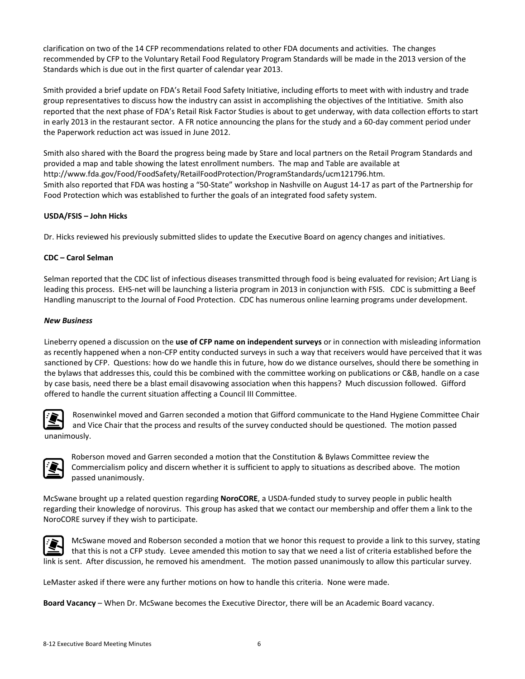clarification on two of the 14 CFP recommendations related to other FDA documents and activities. The changes recommended by CFP to the Voluntary Retail Food Regulatory Program Standards will be made in the 2013 version of the Standards which is due out in the first quarter of calendar year 2013.

Smith provided a brief update on FDA's Retail Food Safety Initiative, including efforts to meet with with industry and trade group representatives to discuss how the industry can assist in accomplishing the objectives of the Intitiative. Smith also reported that the next phase of FDA's Retail Risk Factor Studies is about to get underway, with data collection efforts to start in early 2013 in the restaurant sector. A FR notice announcing the plans for the study and a 60‐day comment period under the Paperwork reduction act was issued in June 2012.

Smith also shared with the Board the progress being made by Stare and local partners on the Retail Program Standards and provided a map and table showing the latest enrollment numbers. The map and Table are available at http://www.fda.gov/Food/FoodSafety/RetailFoodProtection/ProgramStandards/ucm121796.htm. Smith also reported that FDA was hosting a "50‐State" workshop in Nashville on August 14‐17 as part of the Partnership for Food Protection which was established to further the goals of an integrated food safety system.

# **USDA/FSIS – John Hicks**

Dr. Hicks reviewed his previously submitted slides to update the Executive Board on agency changes and initiatives.

## **CDC – Carol Selman**

Selman reported that the CDC list of infectious diseases transmitted through food is being evaluated for revision; Art Liang is leading this process. EHS‐net will be launching a listeria program in 2013 in conjunction with FSIS. CDC is submitting a Beef Handling manuscript to the Journal of Food Protection. CDC has numerous online learning programs under development.

## *New Business*

Lineberry opened a discussion on the **use of CFP name on independent surveys** or in connection with misleading information as recently happened when a non‐CFP entity conducted surveys in such a way that receivers would have perceived that it was sanctioned by CFP. Questions: how do we handle this in future, how do we distance ourselves, should there be something in the bylaws that addresses this, could this be combined with the committee working on publications or C&B, handle on a case by case basis, need there be a blast email disavowing association when this happens? Much discussion followed. Gifford offered to handle the current situation affecting a Council III Committee.



Rosenwinkel moved and Garren seconded a motion that Gifford communicate to the Hand Hygiene Committee Chair and Vice Chair that the process and results of the survey conducted should be questioned. The motion passed unanimously.



Roberson moved and Garren seconded a motion that the Constitution & Bylaws Committee review the Commercialism policy and discern whether it is sufficient to apply to situations as described above. The motion passed unanimously.

McSwane brought up a related question regarding **NoroCORE**, a USDA‐funded study to survey people in public health regarding their knowledge of norovirus. This group has asked that we contact our membership and offer them a link to the NoroCORE survey if they wish to participate.



McSwane moved and Roberson seconded a motion that we honor this request to provide a link to this survey, stating that this is not a CFP study. Levee amended this motion to say that we need a list of criteria established before the link is sent. After discussion, he removed his amendment. The motion passed unanimously to allow this particular survey.

LeMaster asked if there were any further motions on how to handle this criteria. None were made.

**Board Vacancy** – When Dr. McSwane becomes the Executive Director, there will be an Academic Board vacancy.